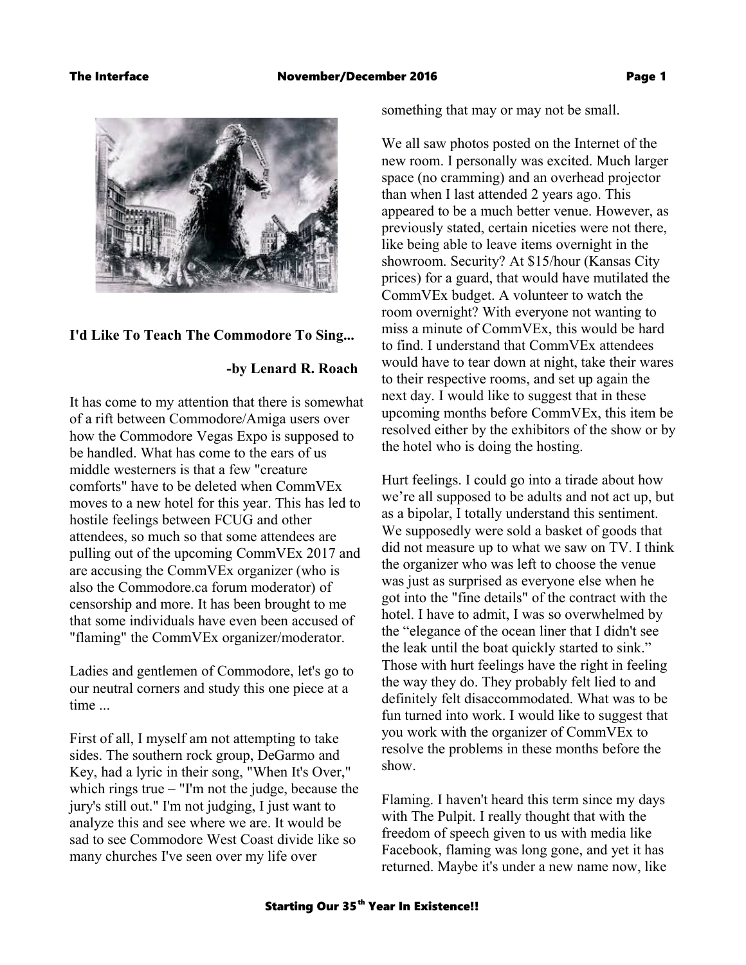

# **I'd Like To Teach The Commodore To Sing...**

# **-by Lenard R. Roach**

It has come to my attention that there is somewhat of a rift between Commodore/Amiga users over how the Commodore Vegas Expo is supposed to be handled. What has come to the ears of us middle westerners is that a few "creature comforts" have to be deleted when CommVEx moves to a new hotel for this year. This has led to hostile feelings between FCUG and other attendees, so much so that some attendees are pulling out of the upcoming CommVEx 2017 and are accusing the CommVEx organizer (who is also the Commodore.ca forum moderator) of censorship and more. It has been brought to me that some individuals have even been accused of "flaming" the CommVEx organizer/moderator.

Ladies and gentlemen of Commodore, let's go to our neutral corners and study this one piece at a time ...

First of all, I myself am not attempting to take sides. The southern rock group, DeGarmo and Key, had a lyric in their song, "When It's Over," which rings true – "I'm not the judge, because the jury's still out." I'm not judging, I just want to analyze this and see where we are. It would be sad to see Commodore West Coast divide like so many churches I've seen over my life over

something that may or may not be small.

We all saw photos posted on the Internet of the new room. I personally was excited. Much larger space (no cramming) and an overhead projector than when I last attended 2 years ago. This appeared to be a much better venue. However, as previously stated, certain niceties were not there, like being able to leave items overnight in the showroom. Security? At \$15/hour (Kansas City prices) for a guard, that would have mutilated the CommVEx budget. A volunteer to watch the room overnight? With everyone not wanting to miss a minute of CommVEx, this would be hard to find. I understand that CommVEx attendees would have to tear down at night, take their wares to their respective rooms, and set up again the next day. I would like to suggest that in these upcoming months before CommVEx, this item be resolved either by the exhibitors of the show or by the hotel who is doing the hosting.

Hurt feelings. I could go into a tirade about how we're all supposed to be adults and not act up, but as a bipolar, I totally understand this sentiment. We supposedly were sold a basket of goods that did not measure up to what we saw on TV. I think the organizer who was left to choose the venue was just as surprised as everyone else when he got into the "fine details" of the contract with the hotel. I have to admit, I was so overwhelmed by the "elegance of the ocean liner that I didn't see the leak until the boat quickly started to sink." Those with hurt feelings have the right in feeling the way they do. They probably felt lied to and definitely felt disaccommodated. What was to be fun turned into work. I would like to suggest that you work with the organizer of CommVEx to resolve the problems in these months before the show.

Flaming. I haven't heard this term since my days with The Pulpit. I really thought that with the freedom of speech given to us with media like Facebook, flaming was long gone, and yet it has returned. Maybe it's under a new name now, like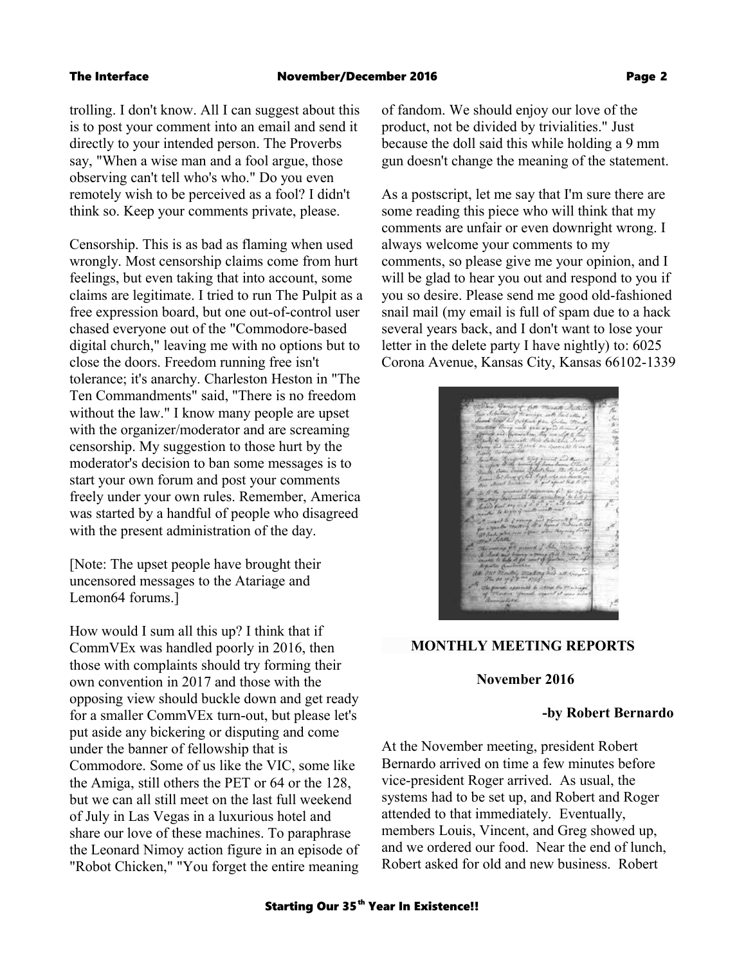trolling. I don't know. All I can suggest about this is to post your comment into an email and send it directly to your intended person. The Proverbs say, "When a wise man and a fool argue, those observing can't tell who's who." Do you even remotely wish to be perceived as a fool? I didn't think so. Keep your comments private, please.

Censorship. This is as bad as flaming when used wrongly. Most censorship claims come from hurt feelings, but even taking that into account, some claims are legitimate. I tried to run The Pulpit as a free expression board, but one out-of-control user chased everyone out of the "Commodore-based digital church," leaving me with no options but to close the doors. Freedom running free isn't tolerance; it's anarchy. Charleston Heston in "The Ten Commandments" said, "There is no freedom without the law." I know many people are upset with the organizer/moderator and are screaming censorship. My suggestion to those hurt by the moderator's decision to ban some messages is to start your own forum and post your comments freely under your own rules. Remember, America was started by a handful of people who disagreed with the present administration of the day.

[Note: The upset people have brought their uncensored messages to the Atariage and Lemon64 forums.]

How would I sum all this up? I think that if CommVEx was handled poorly in 2016, then those with complaints should try forming their own convention in 2017 and those with the opposing view should buckle down and get ready for a smaller CommVEx turn-out, but please let's put aside any bickering or disputing and come under the banner of fellowship that is Commodore. Some of us like the VIC, some like the Amiga, still others the PET or 64 or the 128, but we can all still meet on the last full weekend of July in Las Vegas in a luxurious hotel and share our love of these machines. To paraphrase the Leonard Nimoy action figure in an episode of "Robot Chicken," "You forget the entire meaning

of fandom. We should enjoy our love of the product, not be divided by trivialities." Just because the doll said this while holding a 9 mm gun doesn't change the meaning of the statement.

As a postscript, let me say that I'm sure there are some reading this piece who will think that my comments are unfair or even downright wrong. I always welcome your comments to my comments, so please give me your opinion, and I will be glad to hear you out and respond to you if you so desire. Please send me good old-fashioned snail mail (my email is full of spam due to a hack several years back, and I don't want to lose your letter in the delete party I have nightly) to: 6025 Corona Avenue, Kansas City, Kansas 66102-1339

# **MONTHLY MEETING REPORTS**

## **November 2016**

### **-by Robert Bernardo**

At the November meeting, president Robert Bernardo arrived on time a few minutes before vice-president Roger arrived. As usual, the systems had to be set up, and Robert and Roger attended to that immediately. Eventually, members Louis, Vincent, and Greg showed up, and we ordered our food. Near the end of lunch, Robert asked for old and new business. Robert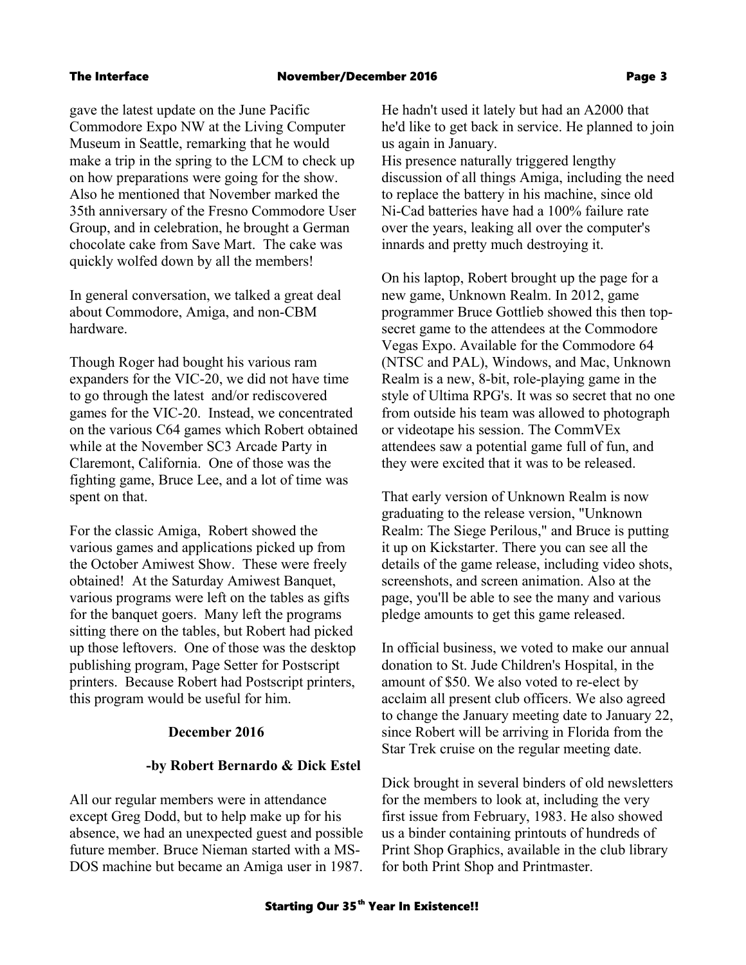gave the latest update on the June Pacific Commodore Expo NW at the Living Computer Museum in Seattle, remarking that he would make a trip in the spring to the LCM to check up on how preparations were going for the show. Also he mentioned that November marked the 35th anniversary of the Fresno Commodore User Group, and in celebration, he brought a German chocolate cake from Save Mart. The cake was quickly wolfed down by all the members!

In general conversation, we talked a great deal about Commodore, Amiga, and non-CBM hardware.

Though Roger had bought his various ram expanders for the VIC-20, we did not have time to go through the latest and/or rediscovered games for the VIC-20. Instead, we concentrated on the various C64 games which Robert obtained while at the November SC3 Arcade Party in Claremont, California. One of those was the fighting game, Bruce Lee, and a lot of time was spent on that.

For the classic Amiga, Robert showed the various games and applications picked up from the October Amiwest Show. These were freely obtained! At the Saturday Amiwest Banquet, various programs were left on the tables as gifts for the banquet goers. Many left the programs sitting there on the tables, but Robert had picked up those leftovers. One of those was the desktop publishing program, Page Setter for Postscript printers. Because Robert had Postscript printers, this program would be useful for him.

# **December 2016**

# **-by Robert Bernardo & Dick Estel**

All our regular members were in attendance except Greg Dodd, but to help make up for his absence, we had an unexpected guest and possible future member. Bruce Nieman started with a MS-DOS machine but became an Amiga user in 1987. He hadn't used it lately but had an A2000 that he'd like to get back in service. He planned to join us again in January.

His presence naturally triggered lengthy discussion of all things Amiga, including the need to replace the battery in his machine, since old Ni-Cad batteries have had a 100% failure rate over the years, leaking all over the computer's innards and pretty much destroying it.

On his laptop, Robert brought up the page for a new game, Unknown Realm. In 2012, game programmer Bruce Gottlieb showed this then topsecret game to the attendees at the Commodore Vegas Expo. Available for the Commodore 64 (NTSC and PAL), Windows, and Mac, Unknown Realm is a new, 8-bit, role-playing game in the style of Ultima RPG's. It was so secret that no one from outside his team was allowed to photograph or videotape his session. The CommVEx attendees saw a potential game full of fun, and they were excited that it was to be released.

That early version of Unknown Realm is now graduating to the release version, "Unknown Realm: The Siege Perilous," and Bruce is putting it up on Kickstarter. There you can see all the details of the game release, including video shots, screenshots, and screen animation. Also at the page, you'll be able to see the many and various pledge amounts to get this game released.

In official business, we voted to make our annual donation to St. Jude Children's Hospital, in the amount of \$50. We also voted to re-elect by acclaim all present club officers. We also agreed to change the January meeting date to January 22, since Robert will be arriving in Florida from the Star Trek cruise on the regular meeting date.

Dick brought in several binders of old newsletters for the members to look at, including the very first issue from February, 1983. He also showed us a binder containing printouts of hundreds of Print Shop Graphics, available in the club library for both Print Shop and Printmaster.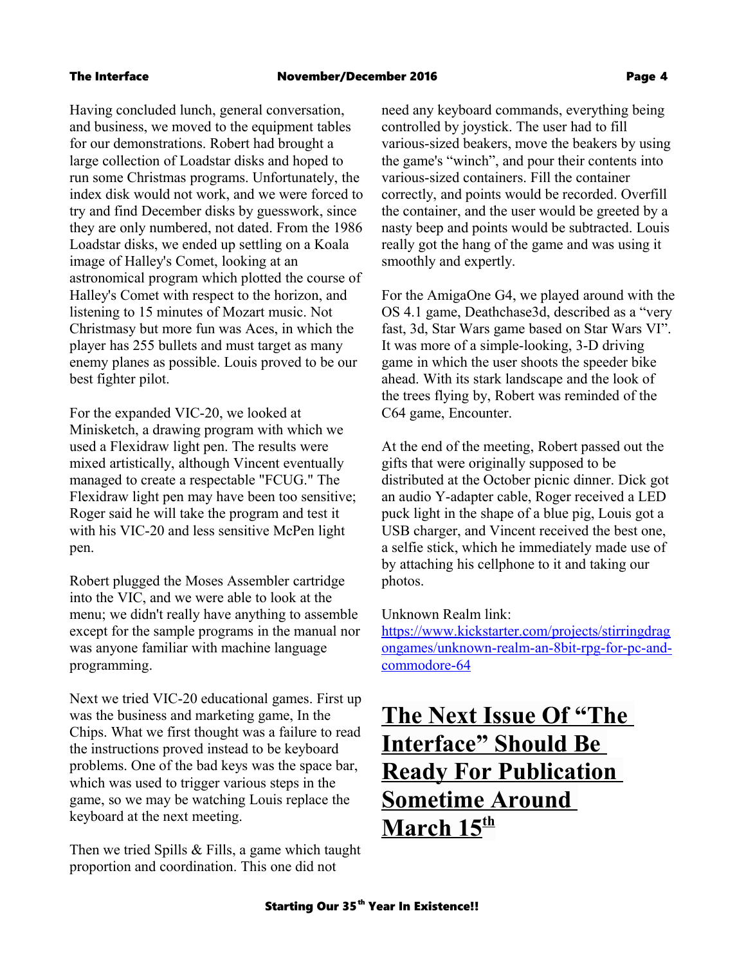Having concluded lunch, general conversation, and business, we moved to the equipment tables for our demonstrations. Robert had brought a large collection of Loadstar disks and hoped to run some Christmas programs. Unfortunately, the index disk would not work, and we were forced to try and find December disks by guesswork, since they are only numbered, not dated. From the 1986 Loadstar disks, we ended up settling on a Koala image of Halley's Comet, looking at an astronomical program which plotted the course of Halley's Comet with respect to the horizon, and listening to 15 minutes of Mozart music. Not Christmasy but more fun was Aces, in which the player has 255 bullets and must target as many enemy planes as possible. Louis proved to be our best fighter pilot.

For the expanded VIC-20, we looked at Minisketch, a drawing program with which we used a Flexidraw light pen. The results were mixed artistically, although Vincent eventually managed to create a respectable "FCUG." The Flexidraw light pen may have been too sensitive; Roger said he will take the program and test it with his VIC-20 and less sensitive McPen light pen.

Robert plugged the Moses Assembler cartridge into the VIC, and we were able to look at the menu; we didn't really have anything to assemble except for the sample programs in the manual nor was anyone familiar with machine language programming.

Next we tried VIC-20 educational games. First up was the business and marketing game, In the Chips. What we first thought was a failure to read the instructions proved instead to be keyboard problems. One of the bad keys was the space bar, which was used to trigger various steps in the game, so we may be watching Louis replace the keyboard at the next meeting.

Then we tried Spills & Fills, a game which taught proportion and coordination. This one did not

need any keyboard commands, everything being controlled by joystick. The user had to fill various-sized beakers, move the beakers by using the game's "winch", and pour their contents into various-sized containers. Fill the container correctly, and points would be recorded. Overfill the container, and the user would be greeted by a nasty beep and points would be subtracted. Louis really got the hang of the game and was using it smoothly and expertly.

For the AmigaOne G4, we played around with the OS 4.1 game, Deathchase3d, described as a "very fast, 3d, Star Wars game based on Star Wars VI". It was more of a simple-looking, 3-D driving game in which the user shoots the speeder bike ahead. With its stark landscape and the look of the trees flying by, Robert was reminded of the C64 game, Encounter.

At the end of the meeting, Robert passed out the gifts that were originally supposed to be distributed at the October picnic dinner. Dick got an audio Y-adapter cable, Roger received a LED puck light in the shape of a blue pig, Louis got a USB charger, and Vincent received the best one, a selfie stick, which he immediately made use of by attaching his cellphone to it and taking our photos.

# Unknown Realm link:

[https://www.kickstarter.com/projects/stirringdrag](https://www.kickstarter.com/projects/stirringdragongames/unknown-realm-an-8bit-rpg-for-pc-and-commodore-64) [ongames/unknown-realm-an-8bit-rpg-for-pc-and](https://www.kickstarter.com/projects/stirringdragongames/unknown-realm-an-8bit-rpg-for-pc-and-commodore-64)[commodore-64](https://www.kickstarter.com/projects/stirringdragongames/unknown-realm-an-8bit-rpg-for-pc-and-commodore-64)

# **The Next Issue Of "The Interface" Should Be Ready For Publication Sometime Around March 15th**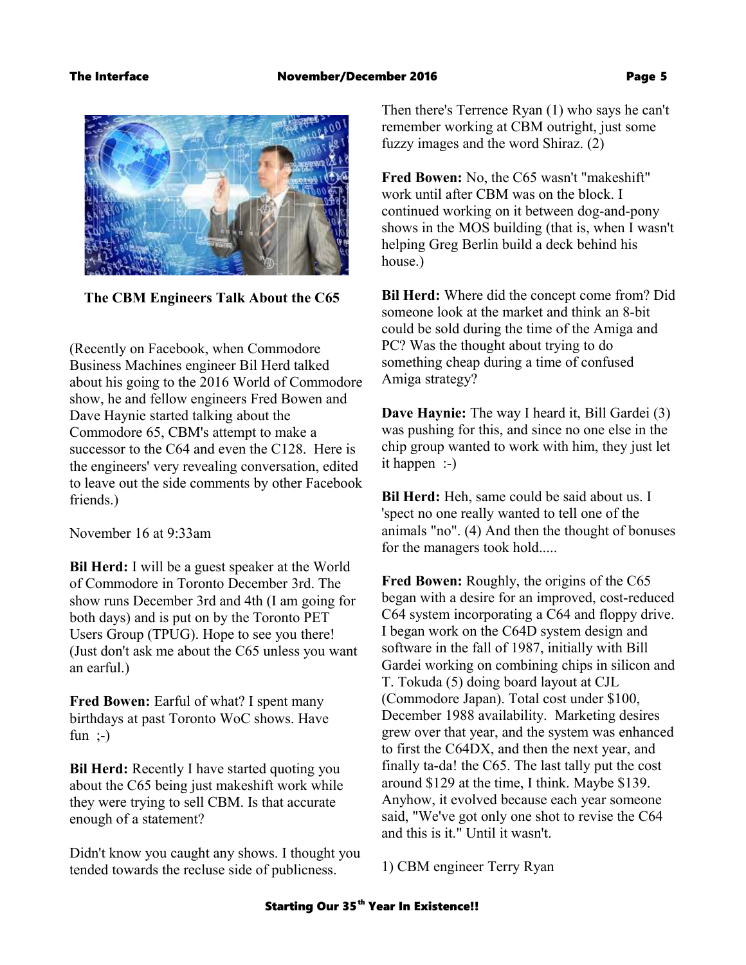

 **The CBM Engineers Talk About the C65**

(Recently on Facebook, when Commodore Business Machines engineer Bil Herd talked about his going to the 2016 World of Commodore show, he and fellow engineers Fred Bowen and Dave Haynie started talking about the Commodore 65, CBM's attempt to make a successor to the C64 and even the C128. Here is the engineers' very revealing conversation, edited to leave out the side comments by other Facebook friends.)

November 16 at 9:33am

**Bil Herd:** I will be a guest speaker at the World of Commodore in Toronto December 3rd. The show runs December 3rd and 4th (I am going for both days) and is put on by the Toronto PET Users Group (TPUG). Hope to see you there! (Just don't ask me about the C65 unless you want an earful.)

**Fred Bowen:** Earful of what? I spent many birthdays at past Toronto WoC shows. Have fun  $;-$ 

**Bil Herd:** Recently I have started quoting you about the C65 being just makeshift work while they were trying to sell CBM. Is that accurate enough of a statement?

Didn't know you caught any shows. I thought you tended towards the recluse side of publicness.

Then there's Terrence Ryan (1) who says he can't remember working at CBM outright, just some fuzzy images and the word Shiraz. (2)

**Fred Bowen:** No, the C65 wasn't "makeshift" work until after CBM was on the block. I continued working on it between dog-and-pony shows in the MOS building (that is, when I wasn't helping Greg Berlin build a deck behind his house.)

**Bil Herd:** Where did the concept come from? Did someone look at the market and think an 8-bit could be sold during the time of the Amiga and PC? Was the thought about trying to do something cheap during a time of confused Amiga strategy?

**Dave Haynie:** The way I heard it, Bill Gardei (3) was pushing for this, and since no one else in the chip group wanted to work with him, they just let it happen :-)

**Bil Herd:** Heh, same could be said about us. I 'spect no one really wanted to tell one of the animals "no". (4) And then the thought of bonuses for the managers took hold.....

**Fred Bowen:** Roughly, the origins of the C65 began with a desire for an improved, cost-reduced C64 system incorporating a C64 and floppy drive. I began work on the C64D system design and software in the fall of 1987, initially with Bill Gardei working on combining chips in silicon and T. Tokuda (5) doing board layout at CJL (Commodore Japan). Total cost under \$100, December 1988 availability. Marketing desires grew over that year, and the system was enhanced to first the C64DX, and then the next year, and finally ta-da! the C65. The last tally put the cost around \$129 at the time, I think. Maybe \$139. Anyhow, it evolved because each year someone said, "We've got only one shot to revise the C64 and this is it." Until it wasn't.

1) CBM engineer Terry Ryan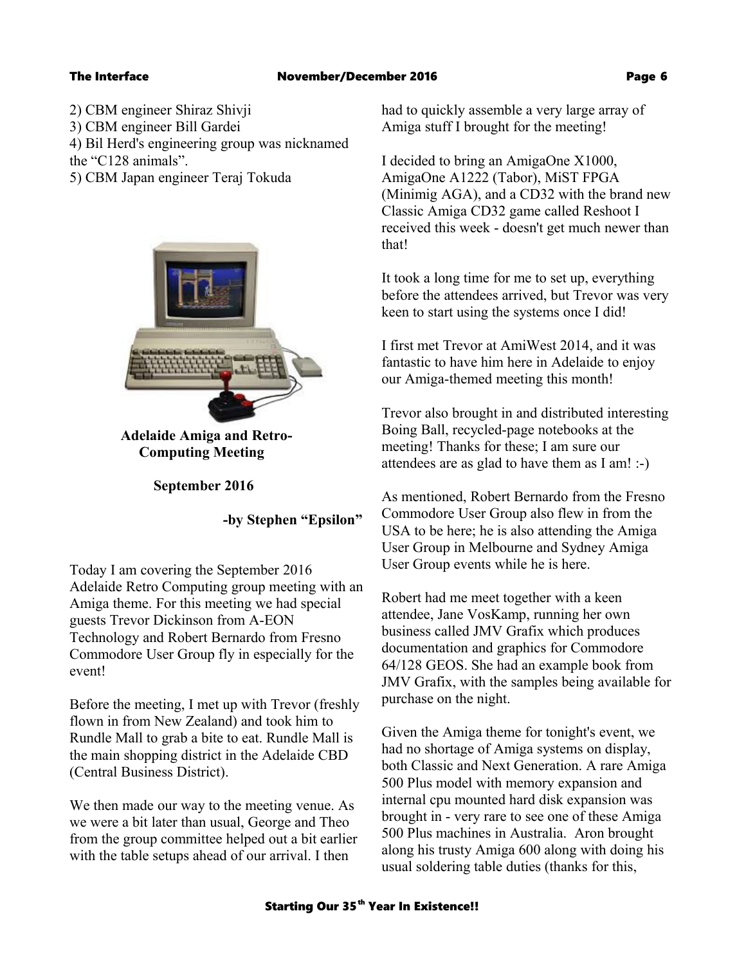- 2) CBM engineer Shiraz Shivji
- 3) CBM engineer Bill Gardei
- 4) Bil Herd's engineering group was nicknamed
- the "C128 animals".
- 5) CBM Japan engineer Teraj Tokuda



 **Adelaide Amiga and Retro- Computing Meeting** 

 **September 2016**

**-by Stephen "Epsilon"**

Today I am covering the September 2016 Adelaide Retro Computing group meeting with an Amiga theme. For this meeting we had special guests Trevor Dickinson from A-EON Technology and Robert Bernardo from Fresno Commodore User Group fly in especially for the event!

Before the meeting, I met up with Trevor (freshly flown in from New Zealand) and took him to Rundle Mall to grab a bite to eat. Rundle Mall is the main shopping district in the Adelaide CBD (Central Business District).

We then made our way to the meeting venue. As we were a bit later than usual, George and Theo from the group committee helped out a bit earlier with the table setups ahead of our arrival. I then

had to quickly assemble a very large array of Amiga stuff I brought for the meeting!

I decided to bring an AmigaOne X1000, AmigaOne A1222 (Tabor), MiST FPGA (Minimig AGA), and a CD32 with the brand new Classic Amiga CD32 game called Reshoot I received this week - doesn't get much newer than that!

It took a long time for me to set up, everything before the attendees arrived, but Trevor was very keen to start using the systems once I did!

I first met Trevor at AmiWest 2014, and it was fantastic to have him here in Adelaide to enjoy our Amiga-themed meeting this month!

Trevor also brought in and distributed interesting Boing Ball, recycled-page notebooks at the meeting! Thanks for these; I am sure our attendees are as glad to have them as I am! :-)

As mentioned, Robert Bernardo from the Fresno Commodore User Group also flew in from the USA to be here; he is also attending the Amiga User Group in Melbourne and Sydney Amiga User Group events while he is here.

Robert had me meet together with a keen attendee, Jane VosKamp, running her own business called JMV Grafix which produces documentation and graphics for Commodore 64/128 GEOS. She had an example book from JMV Grafix, with the samples being available for purchase on the night.

Given the Amiga theme for tonight's event, we had no shortage of Amiga systems on display, both Classic and Next Generation. A rare Amiga 500 Plus model with memory expansion and internal cpu mounted hard disk expansion was brought in - very rare to see one of these Amiga 500 Plus machines in Australia. Aron brought along his trusty Amiga 600 along with doing his usual soldering table duties (thanks for this,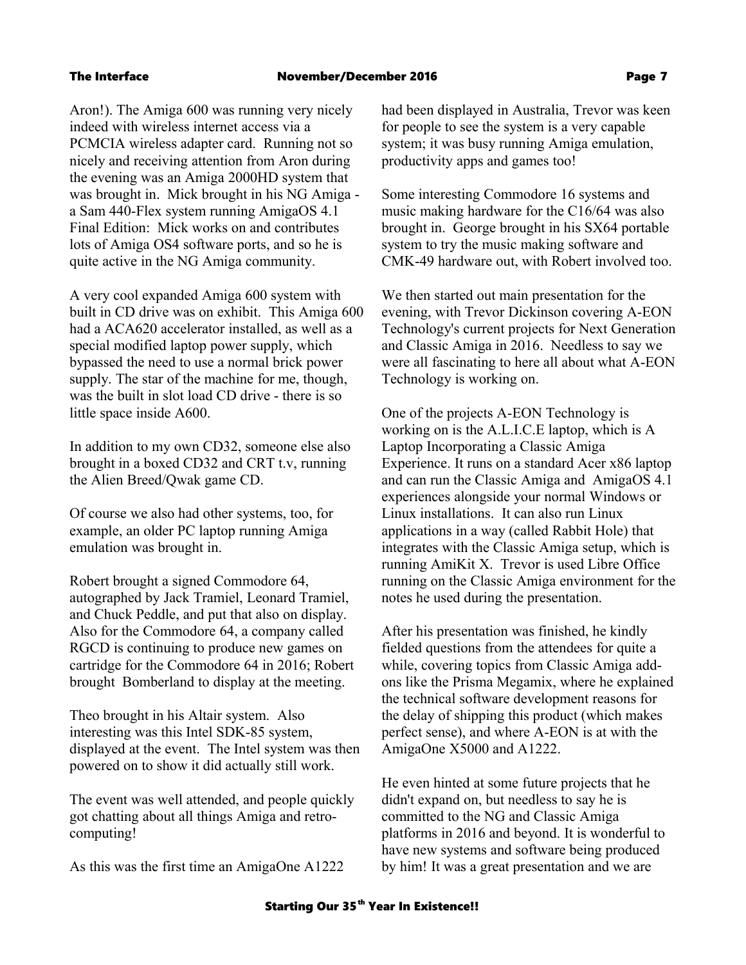Aron!). The Amiga 600 was running very nicely indeed with wireless internet access via a PCMCIA wireless adapter card. Running not so nicely and receiving attention from Aron during the evening was an Amiga 2000HD system that was brought in. Mick brought in his NG Amiga a Sam 440-Flex system running AmigaOS 4.1 Final Edition: Mick works on and contributes lots of Amiga OS4 software ports, and so he is quite active in the NG Amiga community.

A very cool expanded Amiga 600 system with built in CD drive was on exhibit. This Amiga 600 had a ACA620 accelerator installed, as well as a special modified laptop power supply, which bypassed the need to use a normal brick power supply. The star of the machine for me, though, was the built in slot load CD drive - there is so little space inside A600.

In addition to my own CD32, someone else also brought in a boxed CD32 and CRT t.v, running the Alien Breed/Qwak game CD.

Of course we also had other systems, too, for example, an older PC laptop running Amiga emulation was brought in.

Robert brought a signed Commodore 64, autographed by Jack Tramiel, Leonard Tramiel, and Chuck Peddle, and put that also on display. Also for the Commodore 64, a company called RGCD is continuing to produce new games on cartridge for the Commodore 64 in 2016; Robert brought Bomberland to display at the meeting.

Theo brought in his Altair system. Also interesting was this Intel SDK-85 system, displayed at the event. The Intel system was then powered on to show it did actually still work.

The event was well attended, and people quickly got chatting about all things Amiga and retrocomputing!

As this was the first time an AmigaOne A1222

had been displayed in Australia, Trevor was keen for people to see the system is a very capable system; it was busy running Amiga emulation, productivity apps and games too!

Some interesting Commodore 16 systems and music making hardware for the C16/64 was also brought in. George brought in his SX64 portable system to try the music making software and CMK-49 hardware out, with Robert involved too.

We then started out main presentation for the evening, with Trevor Dickinson covering A-EON Technology's current projects for Next Generation and Classic Amiga in 2016. Needless to say we were all fascinating to here all about what A-EON Technology is working on.

One of the projects A-EON Technology is working on is the A.L.I.C.E laptop, which is A Laptop Incorporating a Classic Amiga Experience. It runs on a standard Acer x86 laptop and can run the Classic Amiga and AmigaOS 4.1 experiences alongside your normal Windows or Linux installations. It can also run Linux applications in a way (called Rabbit Hole) that integrates with the Classic Amiga setup, which is running AmiKit X. Trevor is used Libre Office running on the Classic Amiga environment for the notes he used during the presentation.

After his presentation was finished, he kindly fielded questions from the attendees for quite a while, covering topics from Classic Amiga addons like the Prisma Megamix, where he explained the technical software development reasons for the delay of shipping this product (which makes perfect sense), and where A-EON is at with the AmigaOne X5000 and A1222.

He even hinted at some future projects that he didn't expand on, but needless to say he is committed to the NG and Classic Amiga platforms in 2016 and beyond. It is wonderful to have new systems and software being produced by him! It was a great presentation and we are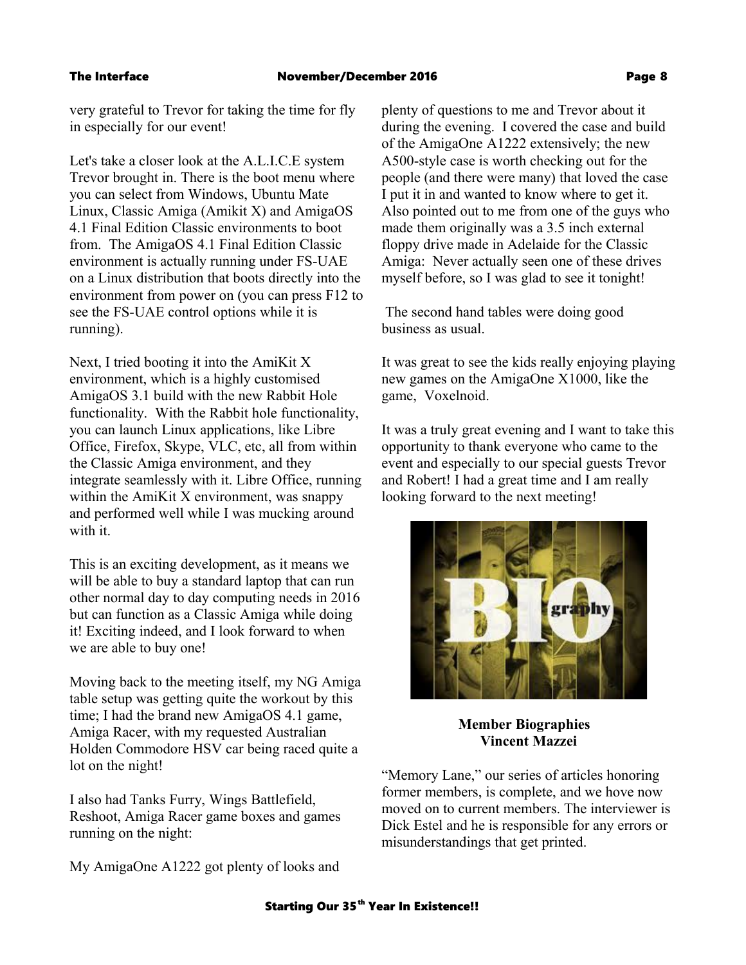very grateful to Trevor for taking the time for fly in especially for our event!

Let's take a closer look at the A.L.I.C.E system Trevor brought in. There is the boot menu where you can select from Windows, Ubuntu Mate Linux, Classic Amiga (Amikit X) and AmigaOS 4.1 Final Edition Classic environments to boot from. The AmigaOS 4.1 Final Edition Classic environment is actually running under FS-UAE on a Linux distribution that boots directly into the environment from power on (you can press F12 to see the FS-UAE control options while it is running).

Next, I tried booting it into the AmiKit X environment, which is a highly customised AmigaOS 3.1 build with the new Rabbit Hole functionality. With the Rabbit hole functionality, you can launch Linux applications, like Libre Office, Firefox, Skype, VLC, etc, all from within the Classic Amiga environment, and they integrate seamlessly with it. Libre Office, running within the AmiKit X environment, was snappy and performed well while I was mucking around with it.

This is an exciting development, as it means we will be able to buy a standard laptop that can run other normal day to day computing needs in 2016 but can function as a Classic Amiga while doing it! Exciting indeed, and I look forward to when we are able to buy one!

Moving back to the meeting itself, my NG Amiga table setup was getting quite the workout by this time; I had the brand new AmigaOS 4.1 game, Amiga Racer, with my requested Australian Holden Commodore HSV car being raced quite a lot on the night!

I also had Tanks Furry, Wings Battlefield, Reshoot, Amiga Racer game boxes and games running on the night:

My AmigaOne A1222 got plenty of looks and

plenty of questions to me and Trevor about it during the evening. I covered the case and build of the AmigaOne A1222 extensively; the new A500-style case is worth checking out for the people (and there were many) that loved the case I put it in and wanted to know where to get it. Also pointed out to me from one of the guys who made them originally was a 3.5 inch external floppy drive made in Adelaide for the Classic Amiga: Never actually seen one of these drives myself before, so I was glad to see it tonight!

 The second hand tables were doing good business as usual.

It was great to see the kids really enjoying playing new games on the AmigaOne X1000, like the game, Voxelnoid.

It was a truly great evening and I want to take this opportunity to thank everyone who came to the event and especially to our special guests Trevor and Robert! I had a great time and I am really looking forward to the next meeting!



# **Member Biographies Vincent Mazzei**

"Memory Lane," our series of articles honoring former members, is complete, and we hove now moved on to current members. The interviewer is Dick Estel and he is responsible for any errors or misunderstandings that get printed.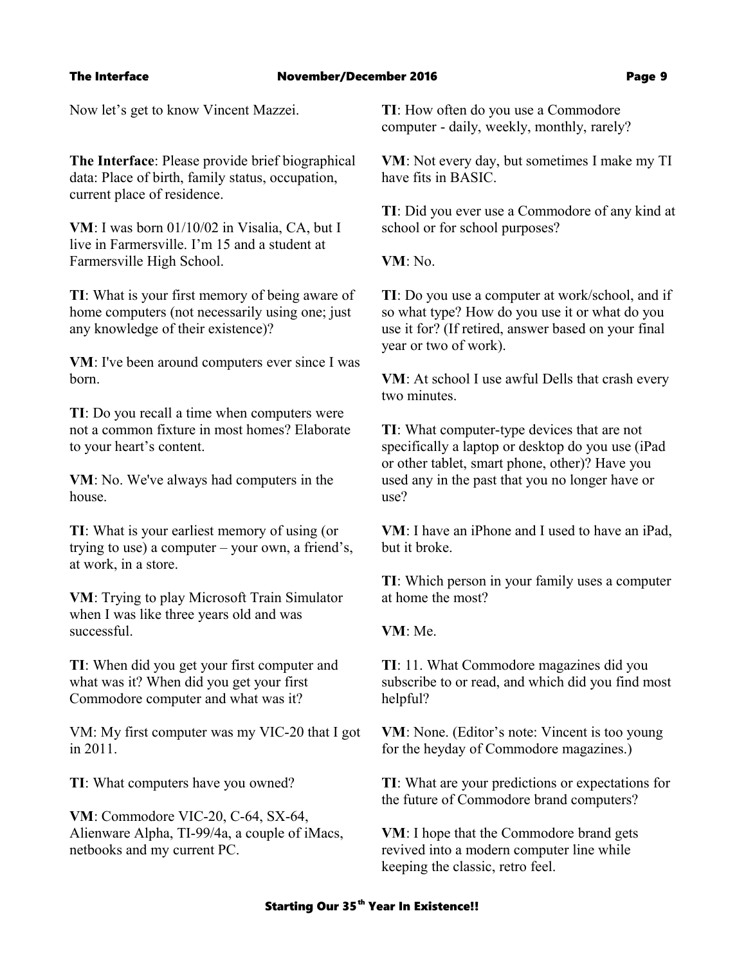Now let's get to know Vincent Mazzei.

**The Interface**: Please provide brief biographical data: Place of birth, family status, occupation, current place of residence.

**VM**: I was born 01/10/02 in Visalia, CA, but I live in Farmersville. I'm 15 and a student at Farmersville High School.

**TI**: What is your first memory of being aware of home computers (not necessarily using one; just any knowledge of their existence)?

**VM**: I've been around computers ever since I was born.

**TI**: Do you recall a time when computers were not a common fixture in most homes? Elaborate to your heart's content.

**VM**: No. We've always had computers in the house.

**TI**: What is your earliest memory of using (or trying to use) a computer – your own, a friend's, at work, in a store.

**VM**: Trying to play Microsoft Train Simulator when I was like three years old and was successful.

**TI**: When did you get your first computer and what was it? When did you get your first Commodore computer and what was it?

VM: My first computer was my VIC-20 that I got in 2011.

**TI**: What computers have you owned?

**VM**: Commodore VIC-20, C-64, SX-64, Alienware Alpha, TI-99/4a, a couple of iMacs, netbooks and my current PC.

**TI**: How often do you use a Commodore computer - daily, weekly, monthly, rarely?

**VM**: Not every day, but sometimes I make my TI have fits in BASIC.

**TI**: Did you ever use a Commodore of any kind at school or for school purposes?

**VM**: No.

**TI**: Do you use a computer at work/school, and if so what type? How do you use it or what do you use it for? (If retired, answer based on your final year or two of work).

**VM**: At school I use awful Dells that crash every two minutes.

**TI**: What computer-type devices that are not specifically a laptop or desktop do you use (iPad or other tablet, smart phone, other)? Have you used any in the past that you no longer have or use?

**VM**: I have an iPhone and I used to have an iPad, but it broke.

**TI**: Which person in your family uses a computer at home the most?

**VM**: Me.

**TI**: 11. What Commodore magazines did you subscribe to or read, and which did you find most helpful?

**VM**: None. (Editor's note: Vincent is too young for the heyday of Commodore magazines.)

**TI**: What are your predictions or expectations for the future of Commodore brand computers?

**VM**: I hope that the Commodore brand gets revived into a modern computer line while keeping the classic, retro feel.